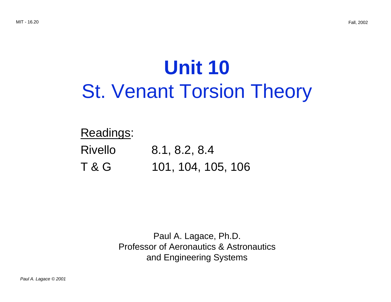# **Unit 10** St. Venant Torsion Theory

### Readings:

Rivello 8.1, 8.2, 8.4 T & G 101, 104, 105, 106

> Paul A. Lagace, Ph.D. Professor of Aeronautics & Astronautics and Engineering Systems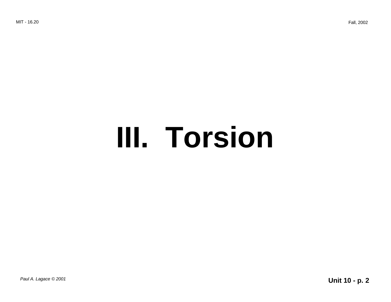# **III. Torsion**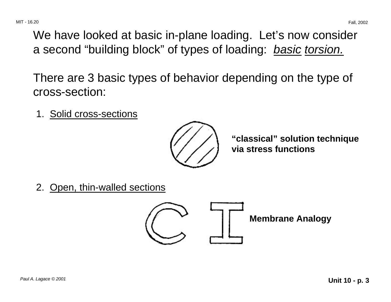We have looked at basic in-plane loading. Let's now consider a second "building block" of types of loading: *basic torsion.* 

There are 3 basic types of behavior depending on the type of cross-section:

1. Solid cross-sections



**"classical" solution technique via stress functions** 

2. Open, thin-walled sections

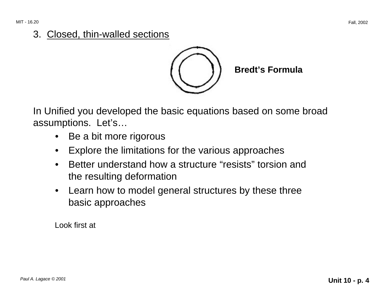#### 3. Closed, thin-walled sections



**Bredt's Formula** 

In Unified you developed the basic equations based on some broad assumptions. Let's…

- Be a bit more rigorous
- Explore the limitations for the various approaches
- Better understand how a structure "resists" torsion and the resulting deformation
- Learn how to model general structures by these three basic approaches

Look first at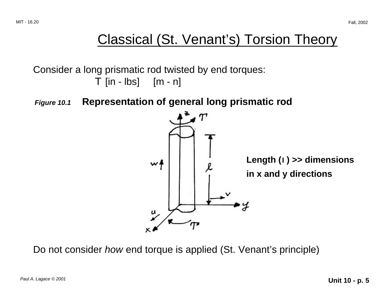## Classical (St. Venant's) Torsion Theory

Consider a long prismatic rod twisted by end torques:  $T$  [in - lbs]  $[m - n]$ 

**Figure 10.1 Representation of general long prismatic rod** 



Do not consider *how* end torque is applied (St. Venant's principle)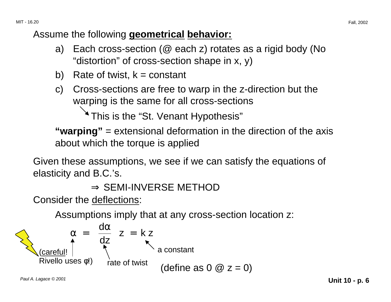#### Assume the following **geometrical behavior:**

- a) Each cross-section ( $@$  each z) rotates as a rigid body (No "distortion" of cross-section shape in x, y)
- b) Rate of twist,  $k = constant$
- c) Cross-sections are free to warp in the z-direction but the warping is the same for all cross-sections

<sup>\*</sup> This is the "St. Venant Hypothesis"

**"warping"** = extensional deformation in the direction of the axis about which the torque is applied

Given these assumptions, we see if we can satisfy the equations of elasticity and B.C.'s.

```
⇒ SEMI-INVERSE METHOD
```
Consider the deflections:

Assumptions imply that at any cross-section location z:

$$
\alpha = \left(\frac{d\alpha}{dz}\right)z = k z
$$
\n(carefull!   
\nRivello uses  $\phi$ !)   
\nrate of twist (define as 0  $\omega$  z = 0)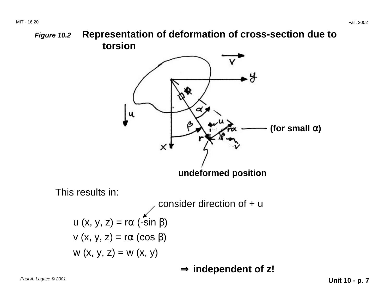**Figure 10.2 Representation of deformation of cross-section due to torsion** 



Paul A. Lagace © 2001 **Unit 10 - p. 7**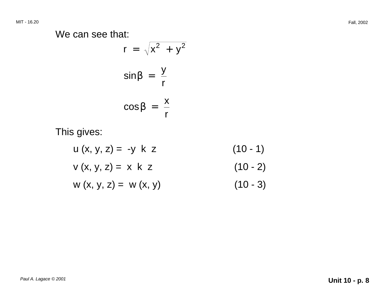We can see that:

$$
r = \sqrt{x^2 + y^2}
$$

$$
\sin \beta = \frac{y}{r}
$$

$$
\cos \beta = \frac{x}{r}
$$

This gives:

$$
u (x, y, z) = -y k z
$$
(10 - 1)  

$$
v (x, y, z) = x k z
$$
(10 - 2)  

$$
w (x, y, z) = w (x, y)
$$
(10 - 3)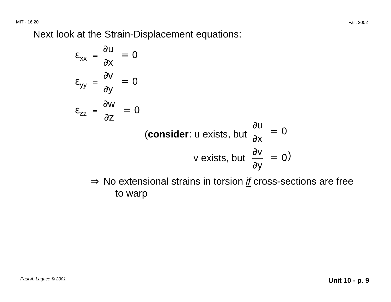Next look at the Strain-Displacement equations:

$$
\varepsilon_{xx} = \frac{\partial u}{\partial x} = 0
$$
  
\n
$$
\varepsilon_{yy} = \frac{\partial v}{\partial y} = 0
$$
  
\n
$$
\varepsilon_{zz} = \frac{\partial w}{\partial z} = 0
$$
  
\n(consider: u exists, but  $\frac{\partial u}{\partial x} = 0$   
\n*v* exists, but  $\frac{\partial v}{\partial y} = 0$ )

 $\Rightarrow$  No extensional strains in torsion  $\underline{if}$  cross-sections are free to warp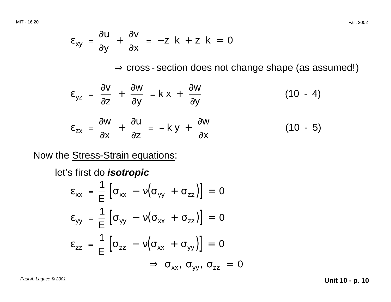$$
\varepsilon_{xy} = \frac{\partial u}{\partial y} + \frac{\partial v}{\partial x} = -z \ k + z \ k = 0
$$

 $\Rightarrow$  cross - section does not change shape (as assumed!)

$$
\varepsilon_{yz} = \frac{\partial v}{\partial z} + \frac{\partial w}{\partial y} = k x + \frac{\partial w}{\partial y}
$$
(10 - 4)  

$$
\varepsilon_{zx} = \frac{\partial w}{\partial x} + \frac{\partial u}{\partial z} = -ky + \frac{\partial w}{\partial x}
$$
(10 - 5)

Now the Stress-Strain equations:

let's first do **isotropic** 

$$
\varepsilon_{xx} = \frac{1}{E} \left[ \sigma_{xx} - v (\sigma_{yy} + \sigma_{zz}) \right] = 0
$$
  
\n
$$
\varepsilon_{yy} = \frac{1}{E} \left[ \sigma_{yy} - v (\sigma_{xx} + \sigma_{zz}) \right] = 0
$$
  
\n
$$
\varepsilon_{zz} = \frac{1}{E} \left[ \sigma_{zz} - v (\sigma_{xx} + \sigma_{yy}) \right] = 0
$$
  
\n
$$
\Rightarrow \sigma_{xx}, \sigma_{yy}, \sigma_{zz} = 0
$$

Paul A. Lagace © 2001 **Unit 10 - p. 10**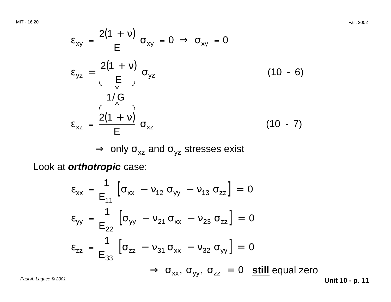MIT - 16.20 Fall, 2002

$$
\varepsilon_{xy} = \frac{2(1 + v)}{E} \sigma_{xy} = 0 \implies \sigma_{xy} = 0
$$
\n
$$
\varepsilon_{yz} = \frac{2(1 + v)}{E} \sigma_{yz}
$$
\n(10 - 6)\n
$$
\varepsilon_{xz} = \frac{2(1 + v)}{E} \sigma_{xz}
$$
\n(10 - 7)

 $\Rightarrow$  only  $\sigma_{xz}$  and  $\sigma_{yz}$  stresses exist

Look at **orthotropic** case:

$$
\varepsilon_{xx} = \frac{1}{E_{11}} \left[ \sigma_{xx} - v_{12} \sigma_{yy} - v_{13} \sigma_{zz} \right] = 0
$$
  
\n
$$
\varepsilon_{yy} = \frac{1}{E_{22}} \left[ \sigma_{yy} - v_{21} \sigma_{xx} - v_{23} \sigma_{zz} \right] = 0
$$
  
\n
$$
\varepsilon_{zz} = \frac{1}{E_{33}} \left[ \sigma_{zz} - v_{31} \sigma_{xx} - v_{32} \sigma_{yy} \right] = 0
$$
  
\n
$$
\Rightarrow \sigma_{xx}, \sigma_{yy}, \sigma_{zz} = 0 \quad \text{still equal zero}
$$

Paul A. Lagace © 2001 **Unit 10 - p. 11**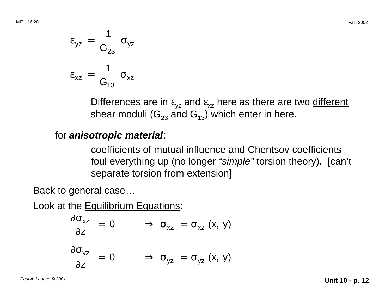$$
\varepsilon_{yz} = \frac{1}{G_{23}} \sigma_{yz}
$$

$$
\varepsilon_{xz} = \frac{1}{G_{13}} \sigma_{xz}
$$

Differences are in  $\varepsilon_{yz}$  and  $\varepsilon_{xz}$  here as there are two different shear moduli ( $G_{23}$  and  $G_{13}$ ) which enter in here.

#### for **anisotropic material**:

coefficients of mutual influence and Chentsov coefficients foul everything up (no longer "simple" torsion theory). [can't separate torsion from extension]

Back to general case…

Look at the **Equilibrium Equations:** 

$$
\frac{\partial \sigma_{xz}}{\partial z} = 0 \qquad \Rightarrow \sigma_{xz} = \sigma_{xz} (x, y)
$$

$$
\frac{\partial \sigma_{yz}}{\partial z} = 0 \qquad \Rightarrow \sigma_{yz} = \sigma_{yz} (x, y)
$$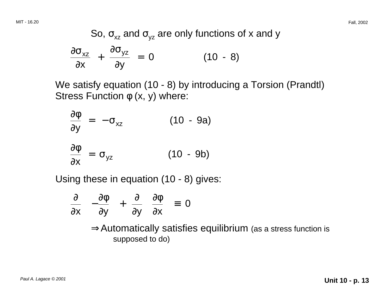So, 
$$
\sigma_{xz}
$$
 and  $\sigma_{yz}$  are only functions of x and y  
\n
$$
\frac{\partial \sigma_{xz}}{\partial x} + \frac{\partial \sigma_{yz}}{\partial y} = 0
$$
\n(10 - 8)

We satisfy equation (10 - 8) by introducing a Torsion (Prandtl) Stress Function  $\phi$  (x, y) where:

$$
\frac{\partial \phi}{\partial y} = -\sigma_{xz}
$$
 (10 - 9a)  

$$
\frac{\partial \phi}{\partial x} = \sigma_{yz}
$$
 (10 - 9b)

Using these in equation (10 - 8) gives:

$$
\frac{\partial}{\partial x} \left( -\frac{\partial \phi}{\partial y} \right) + \frac{\partial}{\partial y} \left( \frac{\partial \phi}{\partial x} \right) = 0
$$

<sup>⇒</sup>Automatically satisfies equilibrium (as a stress function is supposed to do)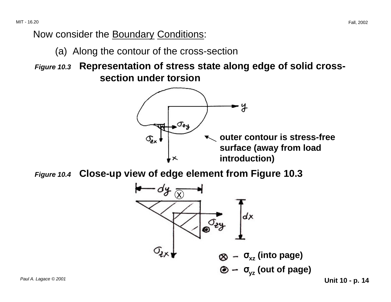Now consider the Boundary Conditions:

(a) Along the contour of the cross-section

**Figure 10.3 Representation of stress state along edge of solid crosssection under torsion** 



**Figure 10.4 Close-up view of edge element from Figure 10.3** 

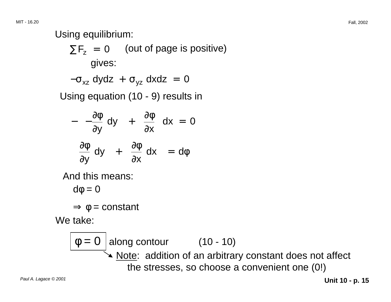Using equilibrium:

 $\Sigma F_z = 0$  (out of page is positive) gives:

$$
-\sigma_{xz} dydz + \sigma_{yz} dxdz = 0
$$

Using equation (10 - 9) results in

$$
-\left(-\frac{\partial \phi}{\partial y} dy\right) + \left(\frac{\partial \phi}{\partial x}\right) dx = 0
$$

$$
\left(\frac{\partial \phi}{\partial y} dy\right) + \left(\frac{\partial \phi}{\partial x} dx\right) = d\phi
$$

And this means:

$$
d\varphi = 0
$$

 $\Rightarrow \phi = constant$ 

We take:

$$
\boxed{\phi = 0}
$$
 along contour (10 - 10)  
\n
$$
\boxed{\phi = 0 \text{ slope: addition of an arbitrary constant does not affect the stresses, so choose a convenient one (0!)}
$$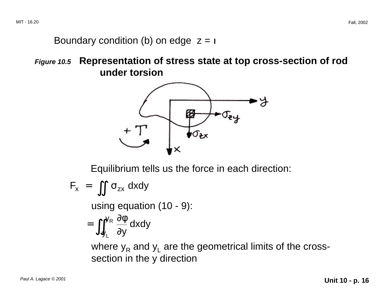#### Boundary condition (b) on edge  $z =$  |

**Figure 10.5 Representation of stress state at top cross-section of rod under torsion** 



Equilibrium tells us the force in each direction:

$$
F_x = \iint \sigma_{zx} dxdy
$$

using equation (10 - 9):

$$
= \iint_{y_L}^{y_R} \frac{\partial \phi}{\partial y} dxdy
$$

where  $y_R$  and  $y_L$  are the geometrical limits of the crosssection in the y direction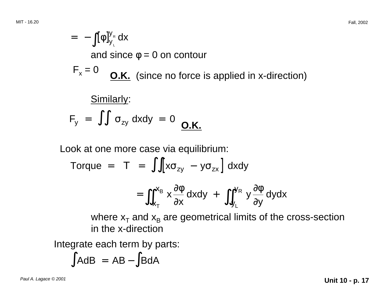$$
= -\int [\phi]_{y_L}^{y_R} dx
$$
  
and since  $\phi = 0$  on contour  

$$
F_x = 0
$$
  
9. K. (since no force is applied in x-direction)  
Similarly:  

$$
F_y = \int \int \sigma_{zy} dxdy = 0
$$
  
0. K.

Look at one more case via equilibrium:

Torque = 
$$
\int \int [x\sigma_{zy} - y\sigma_{zx}] dx dy
$$

$$
= \iint_{x_T}^{x_B} x \frac{\partial \phi}{\partial x} dxdy + \iint_{y_L}^{y_R} y \frac{\partial \phi}{\partial y} dydx
$$

where  $x_T$  and  $x_B$  are geometrical limits of the cross-section in the x-direction

Integrate each term by parts:

$$
\int AdB = AB - \int BdA
$$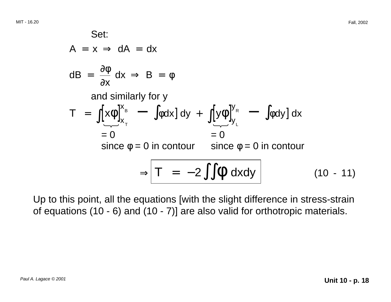Set:  
\n
$$
A = x \Rightarrow dA = dx
$$
  
\n
$$
dB = \frac{\partial \phi}{\partial x} dx \Rightarrow B = \phi
$$
\nand similarly for y  
\n
$$
T = \int [x\phi]_{x_{\tau}}^{x_{B}} - \int \phi dx] dy + \int [y\phi]_{y_{L}}^{y_{R}} - \int \phi dy] dx
$$
\n
$$
= 0 \qquad = 0
$$
\nsince  $\phi = 0$  in contour since  $\phi = 0$  in contour  
\n
$$
\Rightarrow T = -2 \int \oint \phi dx dy
$$
\n(10 - 11)

Up to this point, all the equations [with the slight difference in stress-strain of equations (10 - 6) and (10 - 7)] are also valid for orthotropic materials.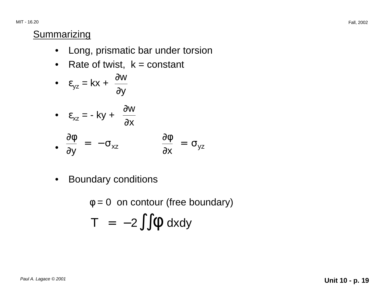MIT - 16.20 Fall, 2002

#### **Summarizing**

- Long, prismatic bar under torsion
- Rate of twist,  $k = constant$

• 
$$
\varepsilon_{yz} = kx + \frac{\partial w}{\partial y}
$$

• 
$$
\varepsilon_{xz} = -ky + \frac{\partial w}{\partial x}
$$
  
\n•  $\frac{\partial \phi}{\partial y} = -\sigma_{xz}$   $\frac{\partial \phi}{\partial x} = \sigma_{yz}$ 

• Boundary conditions

$$
\phi = 0 \text{ on contour (free boundary)}
$$
  
T = -2 $\int \oint \phi \, dxdy$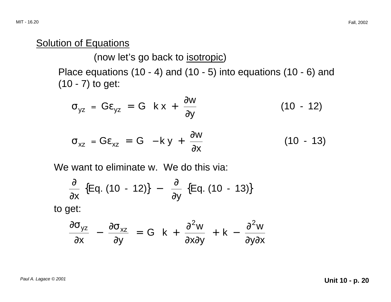#### Solution of Equations

(now let's go back to isotropic)

Place equations (10 - 4) and (10 - 5) into equations (10 - 6) and (10 - 7) to get:

$$
\sigma_{yz} = G\varepsilon_{yz} = G\left(kx + \frac{\partial w}{\partial y}\right)
$$
 (10 - 12)

$$
\sigma_{xz} = G\varepsilon_{xz} = G\left(-k y + \frac{\partial w}{\partial x}\right)
$$
 (10 - 13)

We want to eliminate w. We do this via:

$$
\frac{\partial}{\partial x} \{Eq. (10 - 12)\} - \frac{\partial}{\partial y} \{Eq. (10 - 13)\}
$$
to get:

$$
\frac{\partial \sigma_{yz}}{\partial x} - \frac{\partial \sigma_{xz}}{\partial y} = G\left(k + \frac{\partial^2 w}{\partial x \partial y} + k - \frac{\partial^2 w}{\partial y \partial x}\right)
$$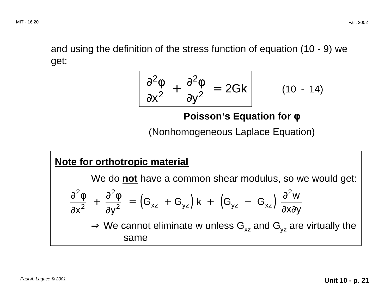and using the definition of the stress function of equation (10 - 9) we get:

$$
\frac{\partial^2 \phi}{\partial x^2} + \frac{\partial^2 \phi}{\partial y^2} = 2Gk \qquad (10 - 14)
$$

#### **Poisson's Equation for φ**

(Nonhomogeneous Laplace Equation)

#### **Note for orthotropic material**

We do **not** have a common shear modulus, so we would get: ∂ ∂ + ∂ ∂ = $\frac{2\phi}{x^2} + \frac{\partial^2 \phi}{\partial y^2} = (G_{xz} + G_{yz}) k + (G_{yz} - G_{xz}) \frac{\partial^2 w}{\partial x \partial y}$  $\Rightarrow$  We cannot eliminate w unless G<sub>xz</sub> and G<sub>yz</sub> are virtually the same y<sup>-</sup> G.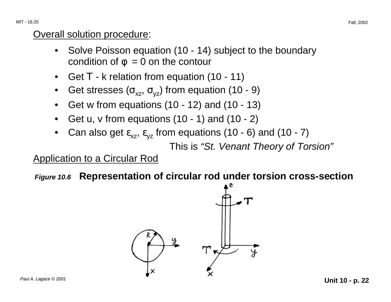#### Overall solution procedure:

- Solve Poisson equation (10 14) subject to the boundary condition of  $\phi = 0$  on the contour
- Get T k relation from equation (10 11)
- Get stresses ( $\sigma_{xz}$ ,  $\sigma_{vz}$ ) from equation (10 9)
- Get w from equations (10 12) and (10 13)
- Get u,  $\vee$  from equations (10 1) and (10 2)
- Can also get  $\varepsilon_{xz}$ ,  $\varepsilon_{yz}$  from equations (10 6) and (10 7)

This is "St. Venant Theory of Torsion"

#### Application to a Circular Rod

**Figure 10.6 Representation of circular rod under torsion cross-section** 

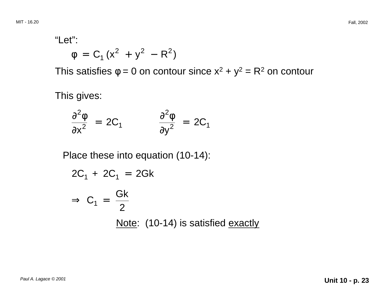"Let":

$$
\phi = C_1 (x^2 + y^2 - R^2)
$$

This satisfies  $\phi = 0$  on contour since  $x^2 + y^2 = R^2$  on contour

This gives:

$$
\frac{\partial^2 \phi}{\partial x^2} = 2C_1 \qquad \qquad \frac{\partial^2 \phi}{\partial y^2} = 2C_1
$$

Place these into equation (10-14):

$$
2C_1 + 2C_1 = 2Gk
$$

$$
\Rightarrow C_1 = \frac{Gk}{2}
$$
  
Note: (10-14) is satisfied exactly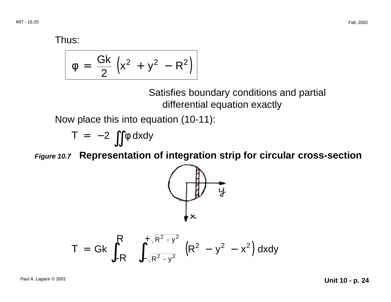Thus:

$$
\phi = \frac{Gk}{2} \left( x^2 + y^2 - R^2 \right)
$$

Satisfies boundary conditions and partial differential equation exactly

Now place this into equation (10-11):

$$
T = -2 \iint \phi \, dxdy
$$

**Figure 10.7 Representation of integration strip for circular cross-section** 



$$
T = Gk \int_{-R}^{R} \int_{-\sqrt{R^2 - y^2}}^{+\sqrt{R^2 - y^2}} (R^2 - y^2 - x^2) dxdy
$$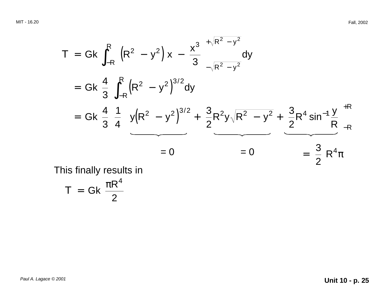$$
T = Gk \int_{-R}^{R} \left[ \left( R^{2} - y^{2} \right) x - \frac{x^{3}}{3} \right]_{-\sqrt{R^{2} - y^{2}}}^{+\sqrt{R^{2} - y^{2}}} dy
$$
  
\n
$$
= Gk \frac{4}{3} \int_{-R}^{R} \left( R^{2} - y^{2} \right)^{3/2} dy
$$
  
\n
$$
= Gk \frac{4}{3} \frac{1}{4} \left[ y \left( R^{2} - y^{2} \right)^{3/2} + \frac{3}{2} R^{2} y \sqrt{R^{2} - y^{2}} + \frac{3}{2} R^{4} \sin^{-1} \frac{y}{R} \right]_{-R}^{+R}
$$
  
\n
$$
= 0
$$
  
\n
$$
= 0
$$
  
\n
$$
= \frac{3}{2} R^{4} \pi
$$

This finally results in

$$
T = Gk \frac{\pi R^4}{2}
$$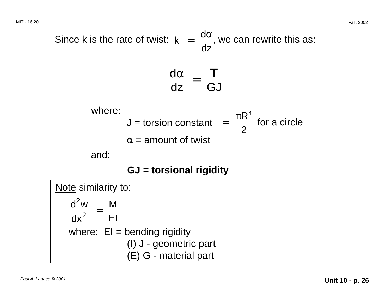Since k is the rate of twist:  $k = \frac{d\alpha}{n}$ , we can rewrite this as: dz

$$
\frac{d\alpha}{dz} = \frac{T}{GJ}
$$

where:  
\n
$$
J = \text{torsion constant} \left( = \frac{\pi R^4}{2} \text{ for a circle} \right)
$$
  
\n $\alpha = \text{amount of twist}$ 

and:

**GJ = torsional rigidity** 

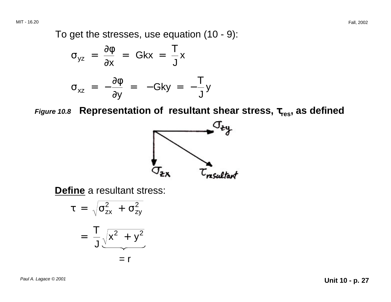MIT - 16.20 Fall, 2002

To get the stresses, use equation (10 - 9):

$$
\sigma_{yz} = \frac{\partial \phi}{\partial x} = Gkx = \frac{T}{J}x
$$
  

$$
\sigma_{xz} = -\frac{\partial \phi}{\partial y} = -Gky = -\frac{T}{J}y
$$

*Figure 10.8* **Representation of resultant shear stress,**  $\tau_{\sf res}$ **, as defined** 



**Define** a resultant stress:

$$
\tau = \sqrt{\sigma_{zx}^2 + \sigma_{zy}^2}
$$

$$
= \frac{T}{J} \sqrt{x^2 + y^2}
$$

$$
= r
$$

Paul A. Lagace © 2001 **Unit 10 - p. 27**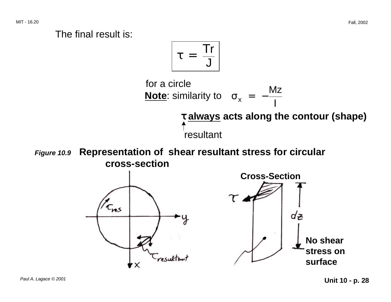#### The final result is:

$$
\tau = \frac{Tr}{J}
$$



**Figure 10.9 Representation of shear resultant stress for circular cross-section** 

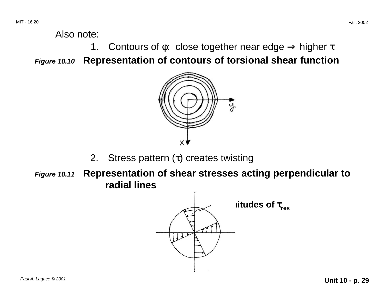Also note:

1. Contours of  $\phi$ : close together near edge  $\Rightarrow$  higher  $\tau$ **Figure 10.10 Representation of contours of torsional shear function** 



- 2. Stress pattern  $(\tau)$  creates twisting
- **Figure 10.11 Representation of shear stresses acting perpendicular to radial lines**

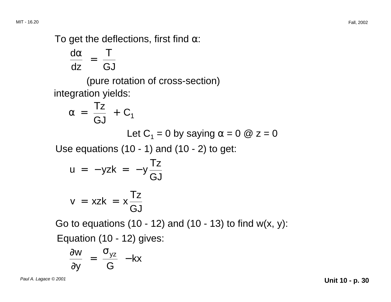To get the deflections, first find  $\alpha$ :

$$
\frac{d\alpha}{dz} = \frac{T}{GJ}
$$

(pure rotation of cross-section) integration yields:

$$
\alpha = \frac{Tz}{GJ} + C_1
$$
  
Let C<sub>1</sub> = 0 by saying  $\alpha$  = 0 @ z = 0

Use equations  $(10 - 1)$  and  $(10 - 2)$  to get:

$$
u = -yzk = -y \frac{Tz}{GJ}
$$

$$
v = xzk = x \frac{Tz}{GJ}
$$

Go to equations  $(10 - 12)$  and  $(10 - 13)$  to find w $(x, y)$ :

Equation (10 - 12) gives:

$$
\frac{\partial w}{\partial y} = \frac{\sigma_{yz}}{G} -kx
$$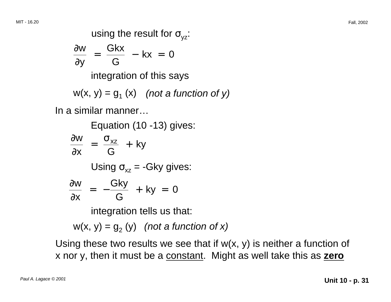using the result for  $\sigma_{vz}$ : ∂w Gkx  $=$   $\frac{5.01}{10}$  – kx = 0 ∂y G integration of this says  $w(x, y) = g_1(x)$  (not a function of y)

In a similar manner…

Equation (10 -13) gives:  
\n
$$
\frac{\partial w}{\partial x} = \frac{\sigma_{xz}}{G} + ky
$$
\nUsing  $\sigma_{xz} = -Gky$  gives:  
\n
$$
\frac{\partial w}{\partial x} = -\frac{Gky}{G} + ky = 0
$$
\nintegration tells us that:

 $w(x, y) = g<sub>2</sub>(y)$  (not a function of x)

Using these two results we see that if  $w(x, y)$  is neither a function of x nor y, then it must be a constant. Might as well take this as **zero**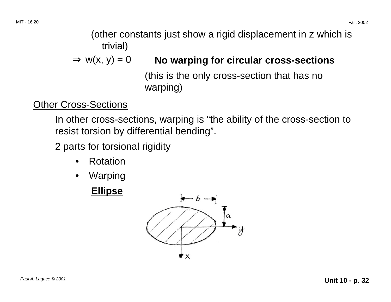(other constants just show a rigid displacement in z which is trivial)

#### $\Rightarrow$  w(x, y) = 0 **No warping for circular cross-sections**

(this is the only cross-section that has no warping)

#### Other Cross-Sections

In other cross-sections, warping is "the ability of the cross-section to resist torsion by differential bending".

2 parts for torsional rigidity

- Rotation
- • Warping

#### **Ellipse**

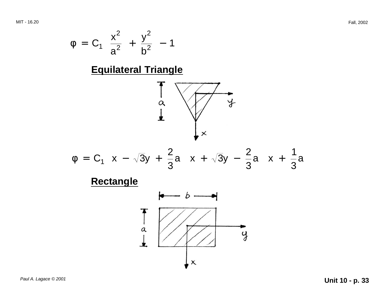$$
\phi = C_1 \left( \frac{x^2}{a^2} + \frac{y^2}{b^2} - 1 \right)
$$

#### **Equilateral Triangle**



$$
\phi = C_1 \left( x - \sqrt{3}y + \frac{2}{3}a \right) \left( x + \sqrt{3}y - \frac{2}{3}a \right) \left( x + \frac{1}{3}a \right)
$$

#### **Rectangle**